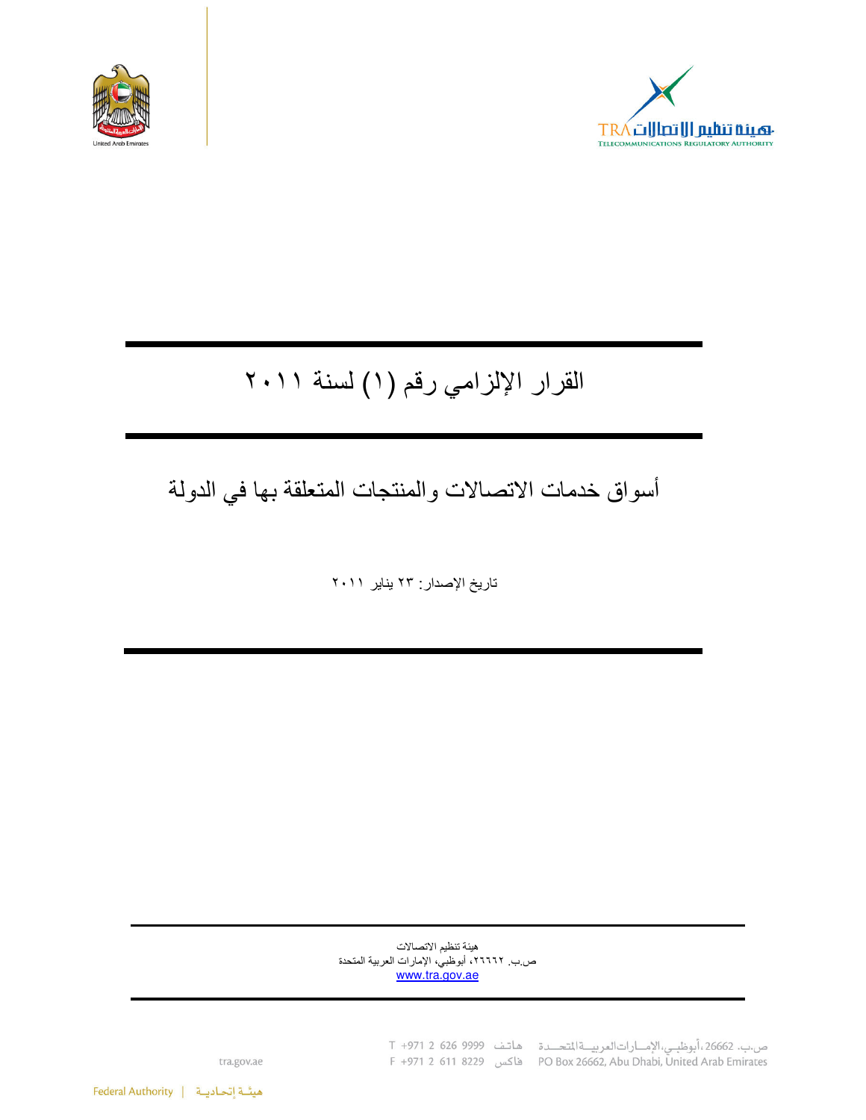



# القرار الإلزامي رقم (١) لسنة ٢٠١١

## أسواق خدمات الاتصالات والمنتجات المتعلقة بها في الدولة

تاريخ الإصدار : ٢٣ يناير ٢٠١١

هيئة تنظيم الاتصالات ص ب ٢٦٦٦٦، أبوظبي، الإمارات العربية المتحدة www.tra.gov.ae

> ص.ب. 26662، أبوظبي، الإمارات العربية التحدة هاتف 9999 926 C +971 2 F +971 2 611 8229 (PO Box 26662, Abu Dhabi, Ünited Arab Emirates

tra.gov.ae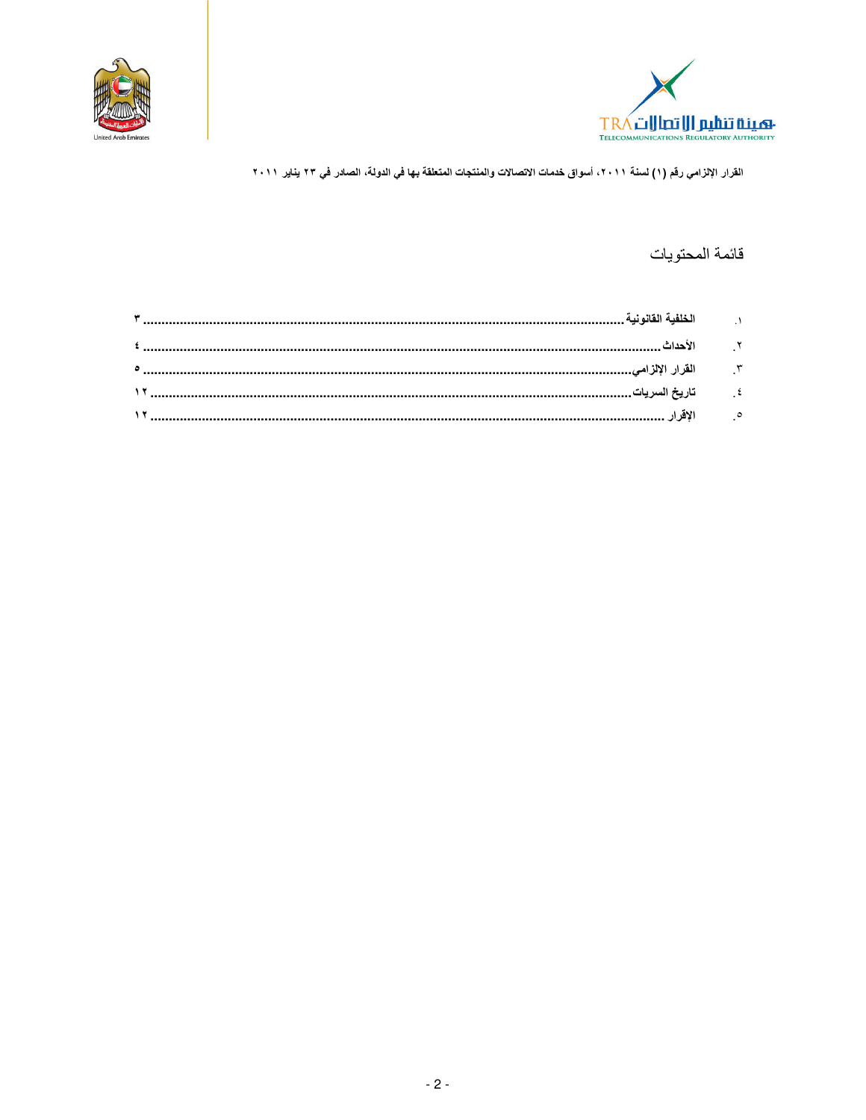



## قائمة المحتويات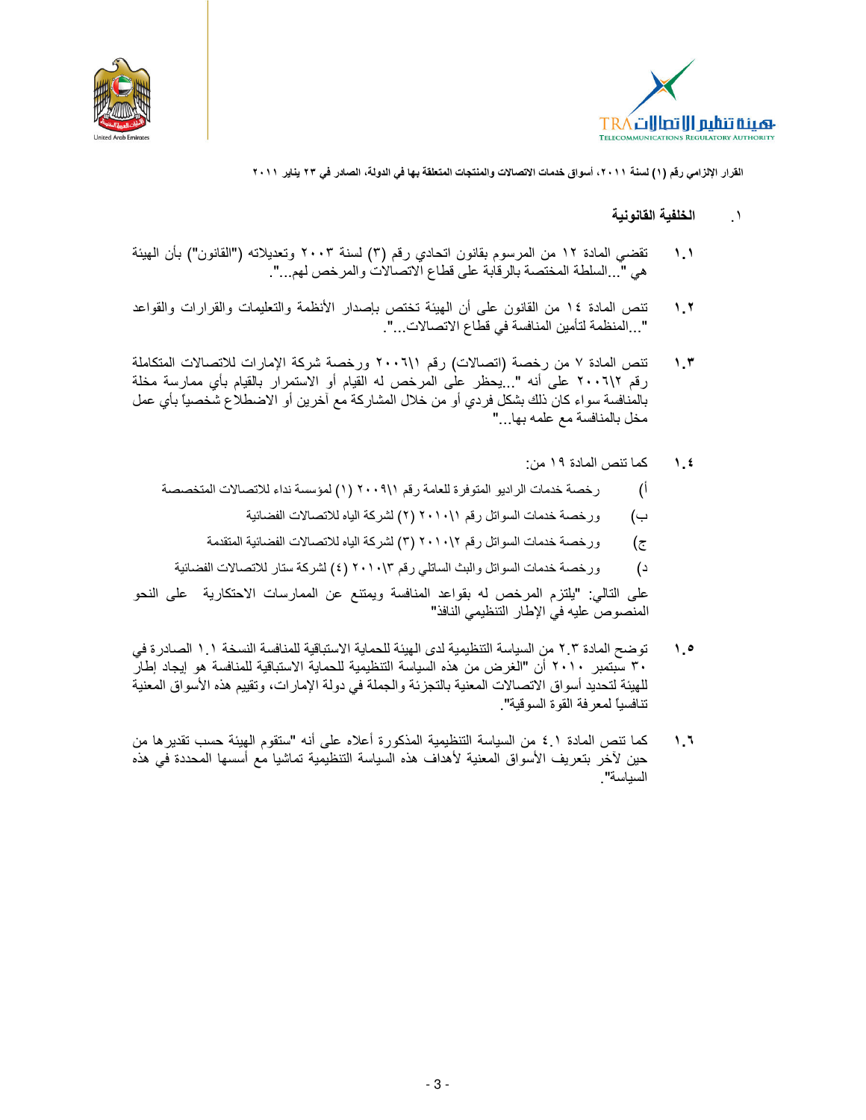



- الخلفية القانونية  $\rightarrow$
- تقضي المادة ١٢ من المرسوم بقانون اتحادي رقم (٣) لسنة ٢٠٠٣ وتعديلاته ("القانون") بأن الهيئة  $\mathcal{N}$ هي "...السلطة المختصة بالرقابة على قطاع الاتصالات والمرخص لهم...".
- تنص المادة ١٤ من القانون على أن الهيئة تختص بإصدار الأنظمة والتعليمات والقرارات والقواعد  $\lambda$ ,  $\lambda$ ". . المنظمة لتأمين المنافسة في قطاع الاتصالات...".
- تنص المادة ٧ من رخصة (اتصالات) رقم ٢٠٠٦١١ ورخصة شركة الإمارات للاتصالات المتكاملة  $\mathcal{N}$ رقم ٢٠٠٦١٢ على أنه "...يحظر على المرخص له القيام أو الاستمرار بالقيام بأي ممارسة مخلة بالمنافسة سواء كان ذلك بشكل فردي أو من خلال المشاركة مع أخرين أو الاضطلاع شخصياً بأي عمل مخل بالمنافسة مع علمه بها..."
	- كما تنص المادة ١٩ من:  $\lambda$ .  $\epsilon$
	- رخصة خدمات الراديو المتوفرة للعامة رقم ٢٠٠٩١١ (١) لمؤسسة نداء للاتصالات المتخصصة أ)
		- ورخصة خدمات السواتل رقم ٢٠١٠١١ (٢) لشركة الياه للاتصالات الفضائية ب)
		- ورخصة خدمات السواتل رقم ٢٠١٠١٢ (٣) لشركة الياه للاتصالات الفضائية المتقدمة  $(\bar{c})$
		- ورخصة خدمات السواتل والبث الساتلي رقم ٢٠١٠١٣ (٤) لشركة ستار للاتصالات الفضائية  $\overline{c}$

على النالي: "يلتزم المرخص له بقواعد المنافسة ويمتنع عن الممارسات الاحتكارية على النحو المنصوص عليه في الإطار التنظيمي النافذ"

- توضح المادة ٢ ٢ من السياسة التنظيمية لدى الهيئة للحماية الاستباقية للمنافسة النسخة ١ ١ الصادر ة في  $\lambda$ . ٣٠ سبتمبر ٢٠١٠ أن "الغرض من هذه السياسة التنظيمية للحماية الاستباقية للمنافسة هو إيجاد إطار للهيئة لتحديد أسواق الاتصالات المعنية بالتجزئة والجملة في دولة الإمارات، وتقييم هذه الأسواق المعنية تنافسيا لمعرفة القوة السوقية".
- كما تنص المادة ١ ٤ من السياسة التنظيمية المذكورة أعلاه على أنه "ستقوم الهيئة حسب تقدير ها من  $1.7$ حين لأخر بتعريف الأسواق المعنية لأهداف هذه السياسة التنظيمية تماشيا مع أسسها المحددة في هذه السباسة"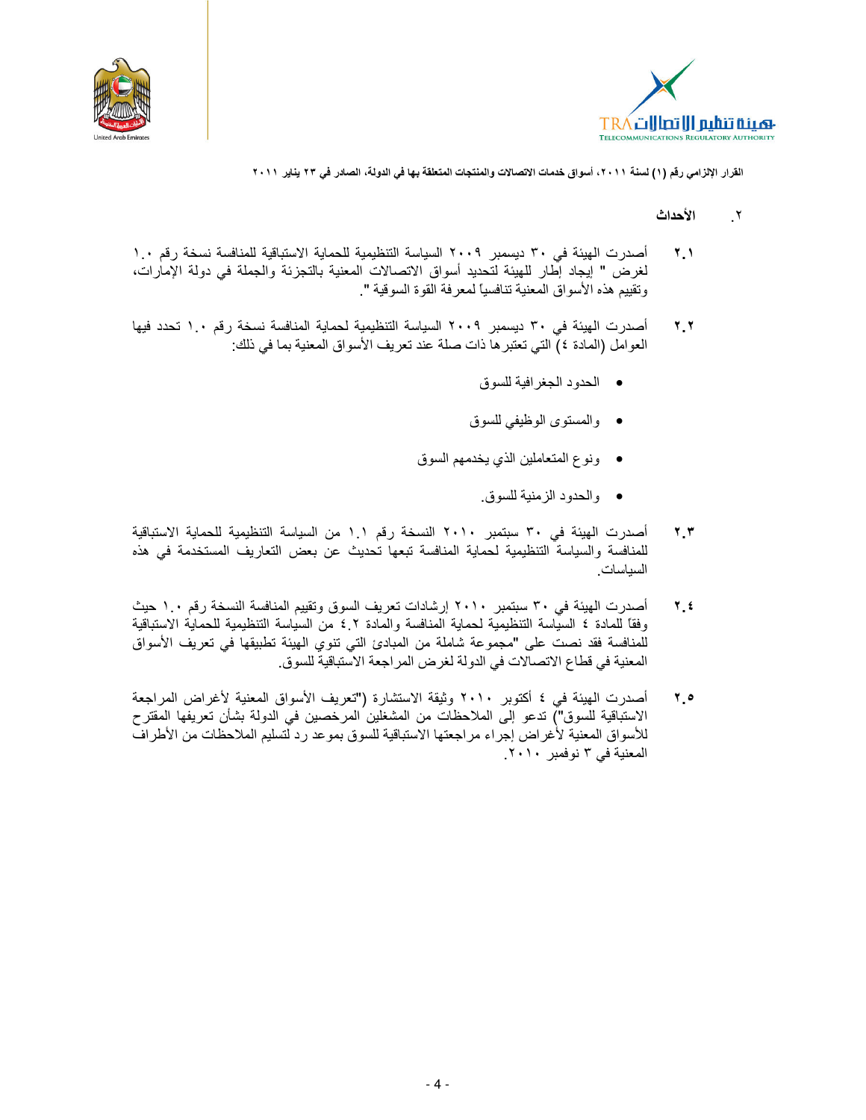



- الأحداث  $\mathbf{r}$
- أصدرت الهيئة في ٣٠ ديسمبر ٢٠٠٩ السياسة التنظيمية للحماية الاستباقية للمنافسة نسخة رقم ١.٠  $\mathbf{Y}$ لغرض " إيجاد إطار للهيئة لتحديد أسواق الاتصالات المعنية بالتجزئة والجملة في دولة الإمارات، ونقييم هذه الأسواق المعنية تنافسيًا لمعرفة القوة السوقية ".
- أصدرت الهيئة في ٣٠ ديسمبر ٢٠٠٩ السياسة التنظيمية لحماية المنافسة نسخة رقم ١.٠ تحدد فيها  $4.4$ العوامل (المادة ٤) التي تعتبر ها ذات صلة عند تعريف الأسواق المعنية بما في ذلك:
	- الحدود الجغرافية للسوق
	- والمستوى الوظيفي للسوق
	- ونوع المتعاملين الذي يخدمهم السوق
		- والحدود الزمنية للسوق.
- أصدرت الهيئة في ٣٠ سبتمبر ٢٠١٠ النسخة رقم ١.١ من السياسة التنظيمية للحماية الاستباقية ۳.۳ للمنافسة والسياسة التنظيمية لحماية المنافسة تبعها تحديث عن بعض التعاريف المستخدمة في هذه السباسات
- أصدرت الهيئة في ٣٠ سبتمبر ٢٠١٠ إرشادات تعريف السوق وتقييم المنافسة النسخة رقم ١.٠ حيث  $7.5$ وفقاً للمادة ٤ السياسة التنظيمية لحماية المنافسة والمادة ٤.٢ من السياسة التنظيمية للحماية الاستباقية للمنافسة فقد نصت على "مجموعة شاملة من المبادئ التي تنوي الهيئة تطبيقها في تعريف الأسواق المعنية في قطاع الاتصالات في الدولة لغرض المراجعة الاستباقية للسوق.
- أصدرت الهيئة في ٤ أكتوبر ٢٠١٠ وثيقة الاستشارة ("تعريف الأسواق المعنية لأغراض المراجعة  $4.0$ الاستباقية للسوق") تدعو إلى الملاحظات من المشغلين المرخصين في الدولة بشأن تعريفها المقترح للاسواق المعنية لأغراض إجراء مراجعتها الاستباقية للسوق بموعد رد لتسليم الملاحظات من الأطراف المعنية في ٣ نوفمبر ٢٠١٠.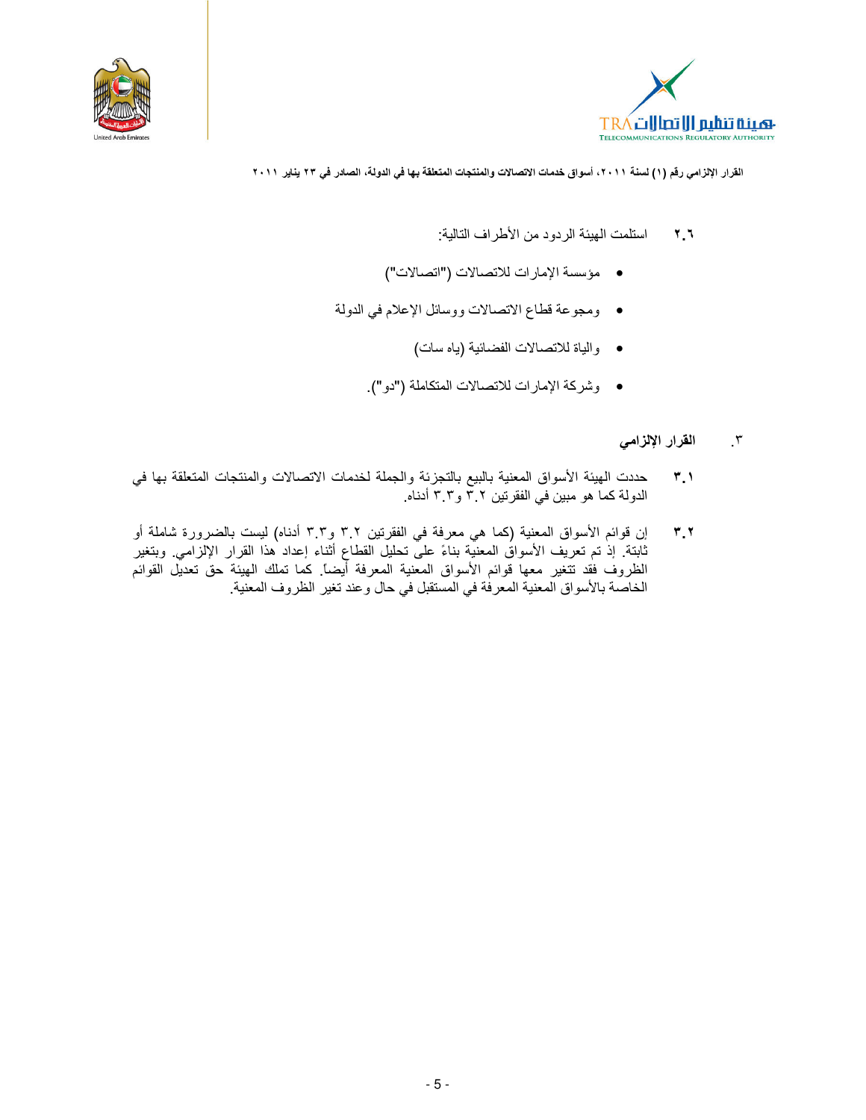



- استلمت الهيئة الردود من الأطر اف التالية:  $\mathbf{Y}$
- مؤسسة الإمارات للاتصالات ("اتصالات")
- ومجوعة قطاع الانصالات ووسائل الإعلام في الدولة
	- والياة للاتصالات الفضائية (ياه سات)
	- وشركة الإمارات للاتصالات المتكاملة ("دو").

#### القرار الإلزامي  $\cdot$   $\cdot$

- حددت الهيئة الأسواق المعنية بالبيع بالتجزئة والجملة لخدمات الاتصالات والمنتجات المتعلقة بها في  $\mathbf{r}$ الدولة كما هو مبين في الفقرتين ٣.٢ و٣.٣ أدناه.
- إن قوائم الأسواق المعنية (كما هي معرفة في الفقرتين ٣.٢ و٣.٣ أدناه) ليست بالضرورة شاملة أو  $T$ ,  $T$ ثابتة. إذ تم تعريف الأسواقُ المعنيَّة بناءً على تحليل القطاع أثناء إعداد هذا القرار الإلزامي. وبتغير الظروف فقد تتغير معها قوائم الأسواق المعنية المعرفة أيضاً. كما تملك الهيئة حقّ تعديّل القوائم الخاصة بالأسواق المعنية المعرفة في المستقبل في حال وعند تغير الظروف المعنية.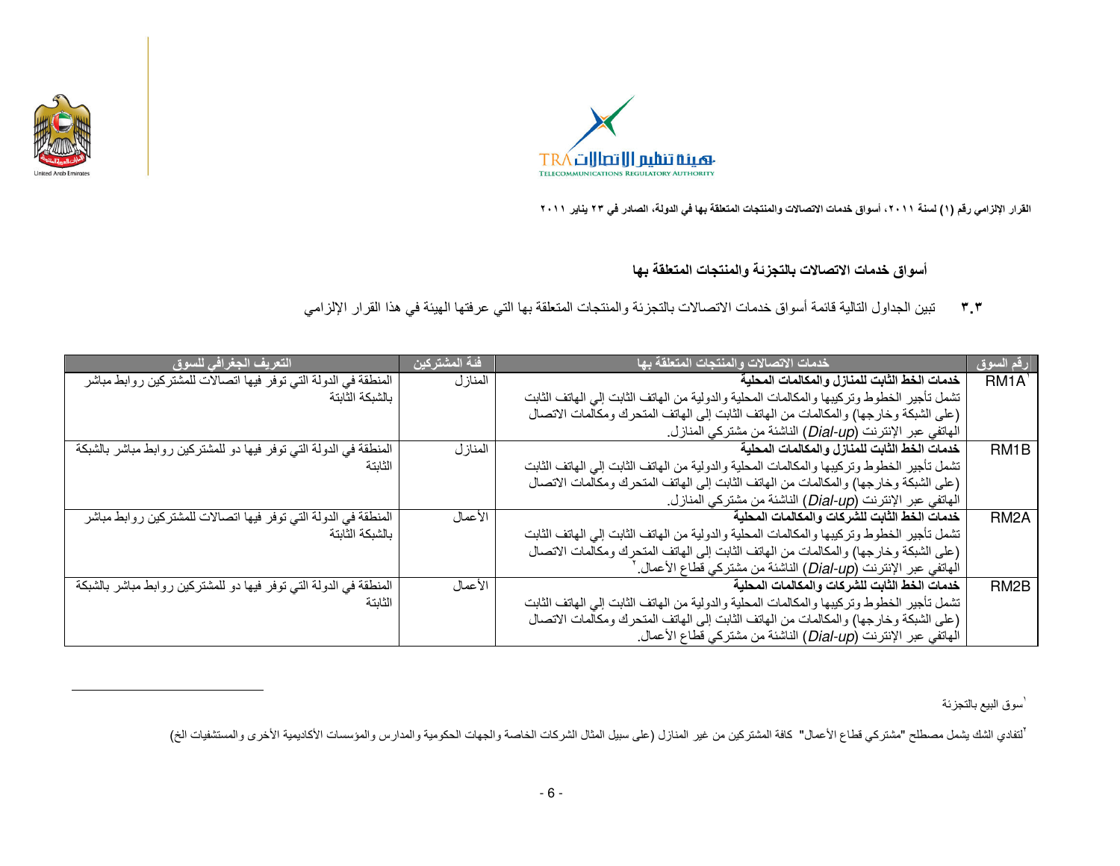

l



القرار الإلزامي رقم (١) لسنة ٢٠١١، أسواق خدمات الاتصالات والمنتجات المتطقة بها في الدولة، الصادر في ٢٣ يناير. ٢٠١١

أسواق خدمات الاتصالات بالتجزئة والمنتجات المتعلقة بها

٣.٣ تبين الجداول التالية قائمة أسواق خدمات الاتصالات بالتجزئة والمنتجات المتعلقة بها التي عرفتها الهيئة في هذا القرار الإلزامي

| التعريف الجغرافي للسوق                                            | ا <u>فئ</u> ة المشتركين | خدمات الاتصالات والمنتجات المتعلقة بها                                                    | رقم السوق         |
|-------------------------------------------------------------------|-------------------------|-------------------------------------------------------------------------------------------|-------------------|
| المنطقة في الدولة التي توفر فيها اتصالات للمشتركين روابط مباشر    | المنازل                 | خدمات الخط الثابت للمنازل والمكالمات المحلية                                              | RM1A'             |
| بالشبكة الثابتة                                                   |                         | تشمل تأجير الخطوط وتركيبها والمكالمات المحلية والدولية من الهاتف الثابت إلى الهاتف الثابت |                   |
|                                                                   |                         | (على الشبكة وخارجها) والمكالمات من الهاتف الثابت إلى الهاتف المتحرك ومكالمات الاتصال      |                   |
|                                                                   |                         | الهاتفي عبر الإنترنت (Dial-up) الناشئة من مشتركي المنازل.                                 |                   |
| المنطقة في الدولة التي توفر فيها دو للمشتركين روابط مباشر بالشبكة | المنازل                 | خدمات الخط الثابت للمنازل والمكالمات المحلية                                              | RM <sub>1</sub> B |
| الثابتة                                                           |                         | تشمل تأجير الخطوط وتركيبها والمكالمات المحلية والدولية من الهاتف الثابت إلى الهاتف الثابت |                   |
|                                                                   |                         | (على الشبكة وخارجها) والمكالمات من الهاتف الثابت إلى الهاتف المتحرك ومكالمات الاتصال      |                   |
|                                                                   |                         | الهاتفي عبر الإنترنت (Dial-up) الناشئة من مشتركي المنازل.                                 |                   |
| المنطقة في الدولة التي توفر فيها اتصالات للمشتركين روابط مباشر    | الأعمال                 | خدمات الخط الثابت للشركات والمكالمات المحلية                                              | RM <sub>2</sub> A |
| بالشبكة الثابتة                                                   |                         | تشمل تأجير الخطوط وتركيبها والمكالمات المحلية والدولية من الهاتف الثابت إلى الهاتف الثابت |                   |
|                                                                   |                         | (على الشبكة وخارجها) والمكالمات من الهاتف الثابت إلى الهاتف المتحرك ومكالمات الاتصال      |                   |
|                                                                   |                         | الهاتفي عبر الإنترنت (Dial-up) الناشئة من مشتركي قطاع الأعمال. '                          |                   |
| المنطقة في الدولة التي توفر فيها دو للمشتركين روابط مباشر بالشبكة | الأعمال                 | خدمات الخط الثابت للشركات والمكالمات المحلية                                              | RM <sub>2</sub> B |
| الثابتة                                                           |                         | تشمل تأجير الخطوط وتركيبها والمكالمات المحلية والدولية من الهاتف الثابت إلى الهاتف الثابت |                   |
|                                                                   |                         | (على الشبكة وخارجها) والمكالمات من الهاتف الثابت إلى الهاتف المتحرك ومكالمات الاتصال      |                   |
|                                                                   |                         | الهاتفي عبر الإنترنت (Dial-up) الناشئة من مشتركي قطاع الأعمال.                            |                   |

<sup>'</sup>سوق البيع بالتجزئة

`لتفادي الشك يشمل مصطلح "مشتركي قطاع الأعمال" كافة المشتركين المنازل المثال الشركات الخاصة والجهات الحكومية والمدارس والمؤسسات الأكاديمية الأخرى والمستشفيات الخ)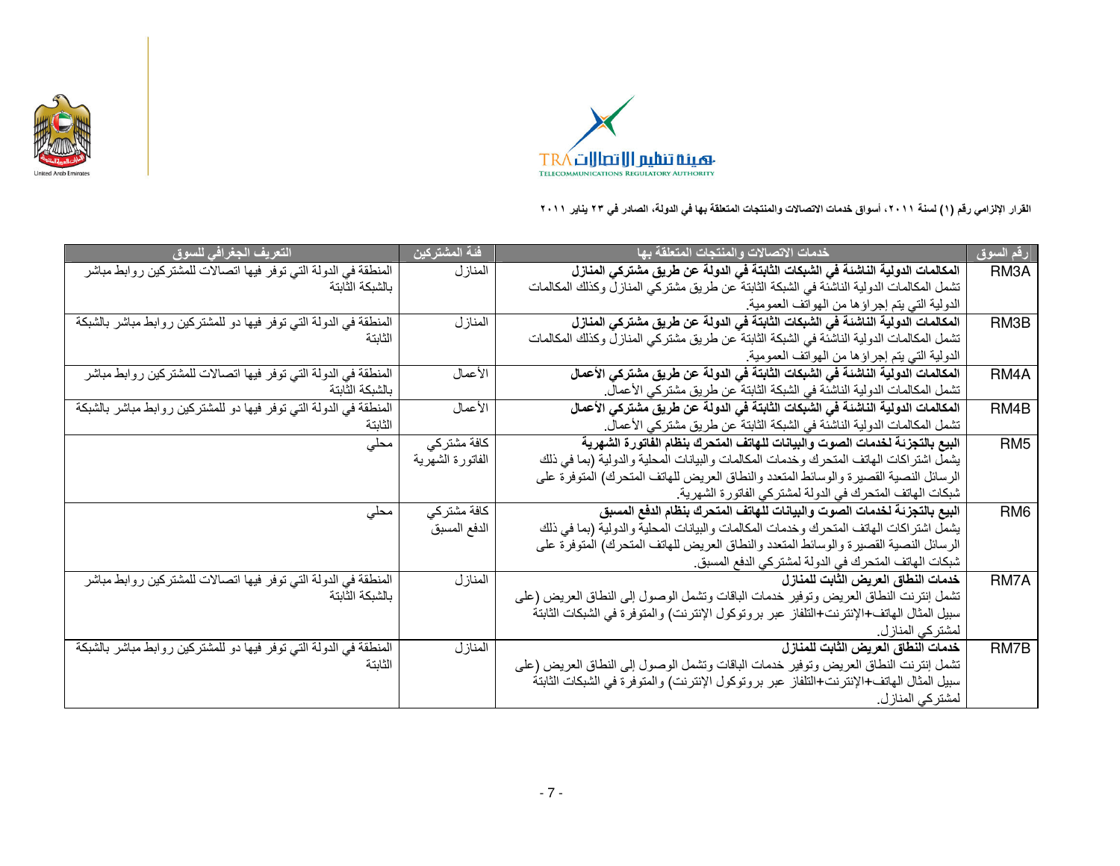



| التعريف الجغرافي للسوق                                            | ِّ فَيْهِ الْمِشْتَرِ كِينَ | خدمات الاتصالات والمنتجات المتعلقة بها                                                  | رقم السوق         |
|-------------------------------------------------------------------|-----------------------------|-----------------------------------------------------------------------------------------|-------------------|
| المنطقة في الدولة التي توفر فيها اتصالات للمشتركين روابط مباشر    | المنازل                     | المكالمات الدولية الناشئة في الشبكات الثابتة في الدولة عن طريق مشتركي المنازل           | RM <sub>3</sub> A |
| بالشبكة الثابتة                                                   |                             | تشمل المكالمات الدولية الناشئة في الشبكة الثابتة عن طريق مشتركي المنازل وكذلك المكالمات |                   |
|                                                                   |                             | الدولية التي يتم إجراؤها من الهواتف العمومية.                                           |                   |
| المنطقة في الدولة التي توفر فيها دو للمشتركين روابط مباشر بالشبكة | المنازل                     | المكالمات الدولية الناشئة في الشبكات الثابتة في الدولة عن طريق مشتركي المنازل           | RM3B              |
| الثانتة                                                           |                             | تشمل المكالمات الدولية الناشئة في الشبكة الثابتة عن طريق مشتركي المنازل وكذلك المكالمات |                   |
|                                                                   |                             | الدولية التي يتم إجراؤها من الهواتف العمومية.                                           |                   |
| المنطقة في الدولة التي توفر فيها اتصالات للمشتركين روابط مباشر    | الأعمال                     | المكالمات الدولية الناشئة في الشبكات الثابتة في الدولة عن طريق مشتركي الأعمال           | RM4A              |
| بالشبكة الثابتة                                                   |                             | تشمل المكالمات الدولية الناشئة في الشبكة الثابتة عن طريق مشتركي الأعمال.                |                   |
| المنطقة في الدولة التي توفر فيها دو للمشتركين روابط مباشر بالشبكة | الأعمال                     | المكالمات الدولية الناشئة في الشبكات الثابتة في الدولة عن طريق مشتركي الأعمال           | RM4B              |
| الثابتة                                                           |                             | تشمل المكالمات الدولية الناشئة في الشبكة الثابتة عن طريق مشتركي الأعمال.                |                   |
| مطی                                                               | كافة مشتركى                 | البيع بالتجزئة لخدمات الصوت والبيانات للهاتف المتحرك بنظام الفاتورة الشهرية             | RM <sub>5</sub>   |
|                                                                   | الفاتورة الشهرية            | يشمل اشتراكات الهاتف المتحرك وخدمات المكالمات والبيانات المحلية والدولية (بما في ذلك    |                   |
|                                                                   |                             | الرسائل النصية القصيرة والوسائط المتعدد والنطاق العريض للهاتف المتحرك) المتوفرة على     |                   |
|                                                                   |                             | شبكات الهاتف المتحرك في الدولة لمشتركي الفاتورة الشهرية.                                |                   |
| مطی                                                               | كافة مشتركي                 | البيع بالتجزئة لخدمات الصوت والبيانات للهاتف المتحرك بنظام الدفع المسبق                 | RM <sub>6</sub>   |
|                                                                   | الدفع المسبق                | يشمل اشتراكات الهاتف المتحرك وخدمات المكالمات والبيانات المحلية والدولية (بما في ذلك    |                   |
|                                                                   |                             | الرسائل النصية القصيرة والوسائط المتعدد والنطاق العريض للهاتف المتحرك) المتوفرة على     |                   |
|                                                                   |                             | شبكات الهاتف المتحرك في الدولة لمشتركي الدفع المسبق.                                    |                   |
| المنطقة في الدولة التي توفر فيها اتصالات للمشتركين روابط مباشر    | المنازل                     | خدمات النطاق العريض الثابت للمنازل                                                      | RM7A              |
| بالشبكة الثابتة                                                   |                             | تشمل إنترنت النطاق العريض وتوفير خدمات الباقات وتشمل الوصول إلى النطاق العريض (على      |                   |
|                                                                   |                             | سبيل المثال الهاتف+الإنترنت+التلفاز عبر بروتوكول الإنترنت) والمتوفرة في الشبكات الثابتة |                   |
|                                                                   |                             | لمشتر كي المناز ل.                                                                      |                   |
| المنطقة في الدولة التي توفر فيها دو للمشتركين روابط مباشر بالشبكة | المنازل                     | خدمات النطاق العريض الثابت للمنازل                                                      | RM7B              |
| الثابتة                                                           |                             | تشمل إنترنت النطاق العريض وتوفير خدمات الباقات وتشمل الوصول إلى النطاق العريض (على      |                   |
|                                                                   |                             | سبيل المثال الهاتف+الإنترنت+التلفاز عبر بروتوكول الإنترنت) والمتوفرة في الشبكات الثابتة |                   |
|                                                                   |                             | لمشتركي المنازل.                                                                        |                   |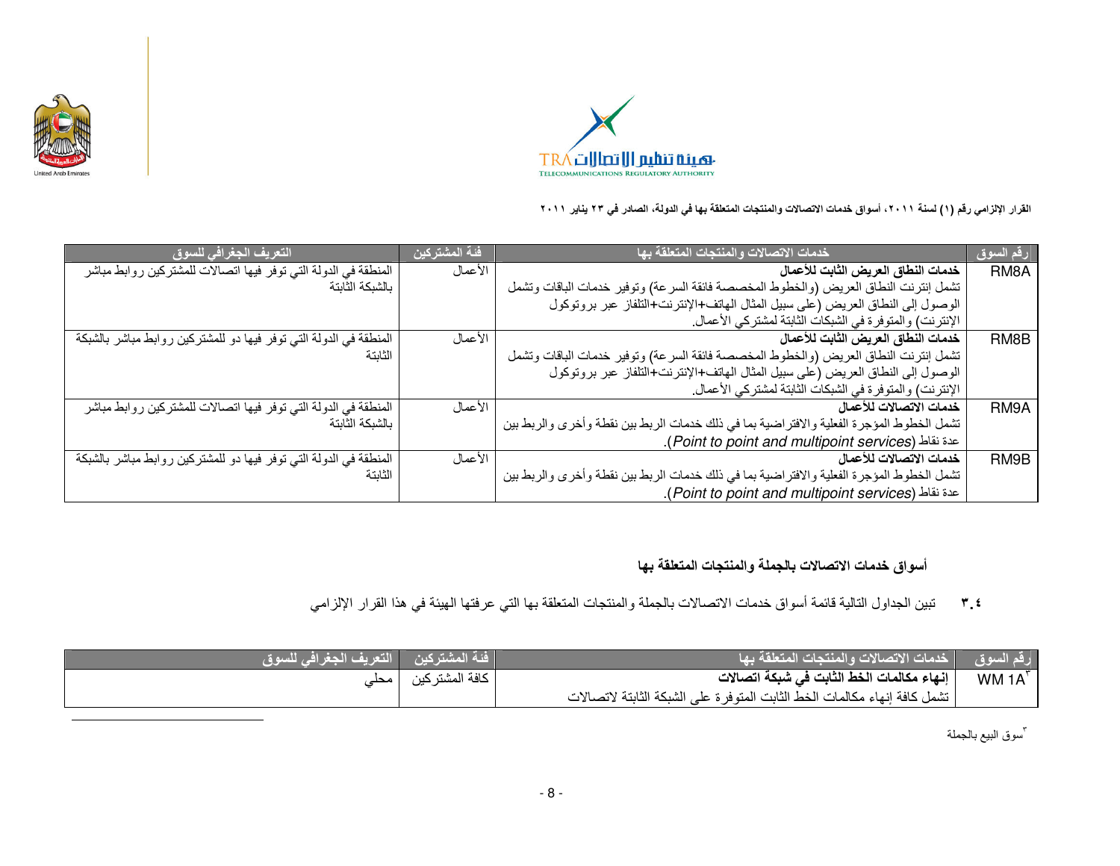



| التعريف الجغرافي للسوق                                            | ً فَئة المشتركين | خدمات الاتصالات والمنتجات المتعلقة بها                                                   | رقم السوق         |
|-------------------------------------------------------------------|------------------|------------------------------------------------------------------------------------------|-------------------|
| المنطقة في الدولة التي توفر فيها اتصالات للمشتركين روابط مباشر    | الأعمال          | خدمات النطاق العريض الثابت للأعمال                                                       | RM <sub>8</sub> A |
| بالشبكة الثابتة                                                   |                  | تشمل إنترنت النطاق العريض (والخطوط المخصصة فائقة السرعة) وتوفير خدمات الباقات وتشمل      |                   |
|                                                                   |                  | الوصول إلى النطاق العريض (على سبيل المثال الهاتف+الإنترنت+التلفاز عبر بروتوكول           |                   |
|                                                                   |                  | الإنترنت) والمتوفرة في الشبكات الثابتة لمشتركي الأعمال.                                  |                   |
| المنطقة في الدولة التي توفر فيها دو للمشتركين روابط مباشر بالشبكة | الأعمال          | خدمات النطاق العريض الثابت للأعمال                                                       | RM8B              |
| الثابتة                                                           |                  | تشمل إنترنت النطاق العريض (والخطوط المخصصة فائقة السرعة) وتوفير خدمات الباقات وتشمل      |                   |
|                                                                   |                  | الوصول إلى النطاق العريض (على سبيل المثال الهاتف+الإنترنت+التلفاز عبر بروتوكول           |                   |
|                                                                   |                  | الإنترنت) والمنوفرة في الشبكات الثابتة لمشتركي الأعمال.                                  |                   |
| المنطقة في الدولة التي توفر فيها اتصالات للمشتركين روابط مباشر    | الأعمال          | خدمات الاتصالات للأعمال                                                                  | RM9A              |
| بالشبكة الثابتة                                                   |                  | تشمل الخطوط المؤجرة الفعلية والافتراضية بما في ذلك خدمات الربط بين نقطة وأخرى والربط بين |                   |
|                                                                   |                  | عدة نقاط (Point to point and multipoint services).                                       |                   |
| المنطقة في الدولة التي توفر فيها دو للمشتركين روابط مباشر بالشبكة | الأعمال          | خدمات الاتصالات للأعمال                                                                  | RM9B              |
| الثابتة                                                           |                  | تشمل الخطوط المؤجرة الفعلية والافتراضية بما في ذلك خدمات الربط بين نقطة وأخرى والربط بين |                   |
|                                                                   |                  | عدة نقاط (Point to point and multipoint services).                                       |                   |

أسواق خدمات الاتصالات بالجملة والمنتجات المتعلقة بها

### تبين الجداول التالية قائمة أسواق خدمات الاتصالات بالجملة والمنتجات المتعلقة بها التي عرفتها الهيئة في هذا القرار الإلزامي  $Y_{\alpha}$

| فَنهُ المشتركين     التعريف الجغرافي للسوق |                  | رقم السوق _ خدمات الاتصالات والمنتجات المتعلقة بها _                     |        |
|--------------------------------------------|------------------|--------------------------------------------------------------------------|--------|
|                                            | ا كافة المشتركين | إنهاء مكالمات الخط الثابت في شبكة اتصالات                                | WM 1A' |
|                                            |                  | تشمل كافة إنهاء مكالمات الخط الثابت المتوفرة على الشبكة الثابتة لاتصالات |        |

"سوق البيع بالجملة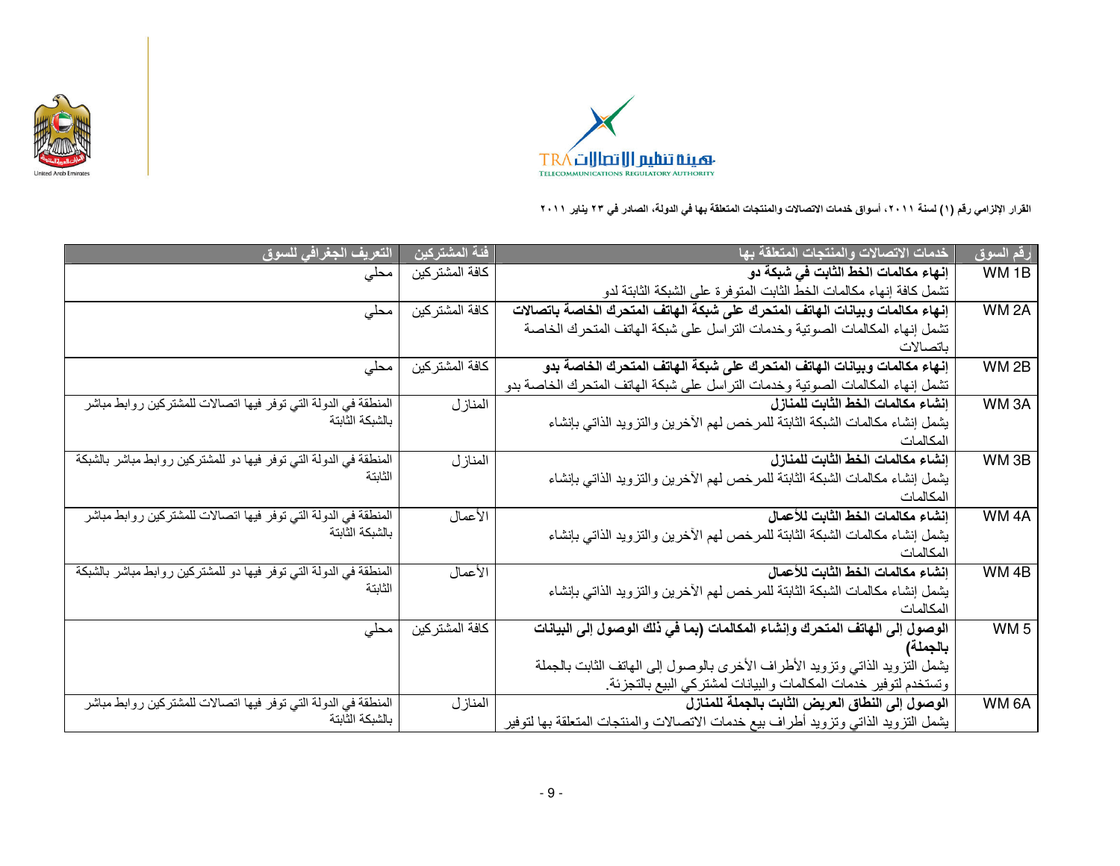



| التعريف الجغرافي للسوق                                            | فئة المشتركين   | خدمات الاتصالات والمنتجات المتعلقة بها                                             | رقم السوق         |
|-------------------------------------------------------------------|-----------------|------------------------------------------------------------------------------------|-------------------|
| محلی                                                              | كافة المشتر كين | إنهاء مكالمات الخط الثابت في شبكة دو                                               | WM <sub>1B</sub>  |
|                                                                   |                 | تشمل كافة إنهاء مكالمات الخط الثابت المتوفرة على الشبكة الثابتة لدو                |                   |
| محلی                                                              | كافة المشتركين  | إنهاء مكالمات وبيانات الهاتف المتحرك على شبكة الهاتف المتحرك الخاصة باتصالات       | WM <sub>2</sub> A |
|                                                                   |                 | تشمل إنهاء المكالمات الصوتية وخدمات التراسل على شبكة الهاتف المتحرك الخاصة         |                   |
|                                                                   |                 | باتصالات                                                                           |                   |
| محلي                                                              | كآفة المشتركين  | إنهاء مكالمات وبيانات الهاتف المتحرك على شبكة الهاتف المتحرك الخاصة بدو            | WM <sub>2B</sub>  |
|                                                                   |                 | تشمل إنهاء المكالمات الصوتية وخدمات التراسل على شبكة الهاتف المتحرك الخاصة بدو     |                   |
| المنطقة في الدولة التي توفر فيها اتصالات للمشتركين روابط مباشر    | المنازل         | إنشاء مكالمات الخط الثابت للمنازل                                                  | WM3A              |
| بالشبكة الثابتة                                                   |                 | يشمل إنشاء مكالمات الشبكة الثابتة للمرخص لهم الأخرين والتزويد الذاتبي بإنشاء       |                   |
|                                                                   |                 | المكالمات                                                                          |                   |
| المنطقة في الدولة التي توفر فيها دو للمشتركين روابط مباشر بالشبكة | المنازل         | إنشاء مكالمات الخط الثابت للمنازل                                                  | WM <sub>3B</sub>  |
| الثابتة                                                           |                 | يشمل إنشاء مكالمات الشبكة الثابتة للمرخص لمهم الأخرين والنزويد الذاتي بإنشاء       |                   |
|                                                                   |                 | المكالمات                                                                          |                   |
| المنطقة في الدولة التي توفر فيها اتصالات للمشتركين روابط مباشر    | الأعمال         | إنشاء مكالمات الخط الثابت للأعمال                                                  | WM <sub>4A</sub>  |
| بالشبكة الثابتة                                                   |                 | يشمل إنشاء مكالمات الشبكة الثابتة للمرخص لهم الأخرين والتزويد الذاتي بإنشاء        |                   |
|                                                                   |                 | المكالمات                                                                          |                   |
| المنطقة في الدولة التي توفر فيها دو للمشتركين روابط مباشر بالشبكة | الأعمال         | إنشاء مكالمات الخط الثابت للأعمال                                                  | WM 4B             |
| الثابتة                                                           |                 | يشمل إنشاء مكالمات الشبكة الثابتة للمرخص لمهم الأخرين والتزويد الذاتى بإنشاء       |                   |
|                                                                   |                 | المكالمات                                                                          |                   |
| محلی                                                              | كافة المشتركين  | الوصول إلى الهاتف المتحرك وإنشاء المكالمات (بما في ذلك الوصول إلى البيانات         | WM <sub>5</sub>   |
|                                                                   |                 | بالجملة)                                                                           |                   |
|                                                                   |                 | يشمل التزويد الذاتي وتزويد الأطراف الأخرى بالوصول إلى الهاتف الثابت بالجملة        |                   |
|                                                                   |                 | وتستخدم لتوفير خدمات المكالمات والبيانات لمشتركي البيع بالتجزئة                    |                   |
| المنطقة في الدولة التي توفر فيها اتصالات للمشتركين روابط مباشر    | المنازل         | الوصول إلى النطاق العريض الثابت بالجملة للمنازل                                    | WM 6A             |
| بالشبكة الثابتة                                                   |                 | يشمل التزويد الذاتي وتزويد أطراف بيع خدمات الاتصالات والمنتجات المتعلقة بها لتوفير |                   |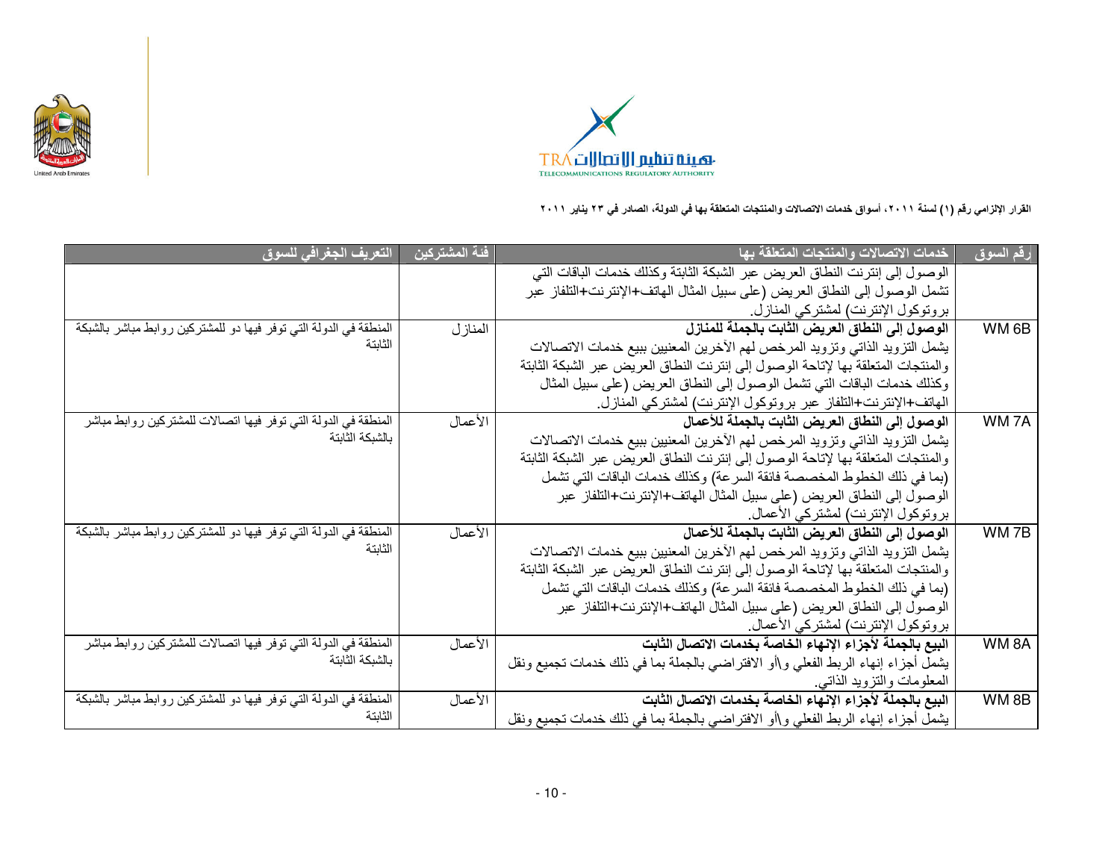



| التعريف الجغرافي للسوق                                            | ِّ فَئة المشتركين | خدمات الاتصالات والمنتجات المتعلقة بها                                            | رقم السوق         |
|-------------------------------------------------------------------|-------------------|-----------------------------------------------------------------------------------|-------------------|
|                                                                   |                   | الوصول إلى إنترنت النطاق العريض عبر الشبكة الثابتة وكذلك خدمات الباقات التي       |                   |
|                                                                   |                   | تشمل الوصول إلى النطاق العريض (على سبيل المثال المهاتف+الإنترنت+التلفاز عبر       |                   |
|                                                                   |                   | بروتوكول الإنترنت) لمشتركي المنازل.                                               |                   |
| المنطقة في الدولة التي توفر فيها دو للمشتركين روابط مباشر بالشبكة | المنازل           | الوصول إلى النطاق العريض الثابت بالجملة للمنازل                                   | WM <sub>6</sub> B |
| الثابتة                                                           |                   | يشمل التزويد الذاتي وتزويد المرخص لهم الأخرين المعنيين ببيع خدمات الاتصالات       |                   |
|                                                                   |                   | والمنتجات المتعلقة بها لإتاحة الوصول إلى إنترنت النطاق العريض عبر الشبكة الثابتة  |                   |
|                                                                   |                   | وكذلك خدمات الباقات التي تشمل الوصول إلى النطاق العريض (على سبيل المثال           |                   |
|                                                                   |                   | الهاتف+الإنترنت+التلفاز عبر بروتوكول الإنترنت) لمشتركي المنازل.                   |                   |
| المنطقة في الدولة التي توفر فيها اتصالات للمشتركين روابط مباشر    | الأعمال           | الوصول إلى النطاق العريض الثابت بالجملة للأعمال                                   | WM7A              |
| بالشبكة الثابتة                                                   |                   | يشمل التزويد الذاتي وتزويد المرخص لهم الأخرين المعنيين ببيع خدمات الاتصالات       |                   |
|                                                                   |                   | والمنتجات المتعلقة بها لإتاحة الوصول إلى إنترنت النطاق العريض عبر الشبكة الثابتة  |                   |
|                                                                   |                   | (بما في ذلك الخطوط المخصصة فائقة السر عة) وكذلك خدمات الباقات التي تشمل           |                   |
|                                                                   |                   | الوصول إلى النطاق العريض (على سبيل المثال الهاتف+الإنترنت+التلفاز عبر             |                   |
|                                                                   |                   | بر وتوكول الإنترنت) لمشتركي الأعمال.                                              |                   |
| المنطقة في الدولة التي توفر فيها دو للمشتركين روابط مباشر بالشبكة | الأعمال           | الوصول إلى النطاق العريض الثابت بالجملة للأعمال                                   | WM7B              |
| الثابتة                                                           |                   | يشمل التزويد الذاتي وتزويد المرخص لهم الأخرين المعنيين ببيع خدمات الاتصالات       |                   |
|                                                                   |                   | والمنتجات المنعلقة بها لإتاحة الوصول إلى إنترنت النطاق العريض عبر الشبكة الثابتة  |                   |
|                                                                   |                   | (بما في ذلك الخطوط المخصصة فائقة السر عة) وكذلك خدمات الباقات التي تشمل           |                   |
|                                                                   |                   | الوصول إلى النطاق العريض (على سبيل المثال الهاتف+الإنترنت+التلفاز عبر             |                   |
|                                                                   |                   | بروتوكول الإنترنت) لمشتركي الأعمال.                                               |                   |
| المنطقة في الدولة التي توفر فيها اتصالات للمشتركين روابط مباشر    | الأعمال           | البيع بالجملة لأجزاء الإنهاء الخاصة بخدمات الاتصال الثابت                         | WM8A              |
| بالشبكة الثابتة                                                   |                   | يشمل أجزاء إنهاء الربط الفعلى و\أو الافتراضيي بالجملة بما في ذلك خدمات تجميع ونقل |                   |
|                                                                   |                   | المعلومات والنزويد الذاتبي                                                        |                   |
| المنطقة في الدولة التي توفر فيها دو للمشتركين روابط مباشر بالشبكة | الأعمال           | البيع بالجملة لأجزاء الإنهاء الخاصة بخدمات الاتصال الثابت                         | WM8B              |
| الثابتة                                                           |                   | يشمل أجزاء إنهاء الربط الفعلي و\أو الافتراضيي بالجملة بما في ذلك خدمات تجميع ونقل |                   |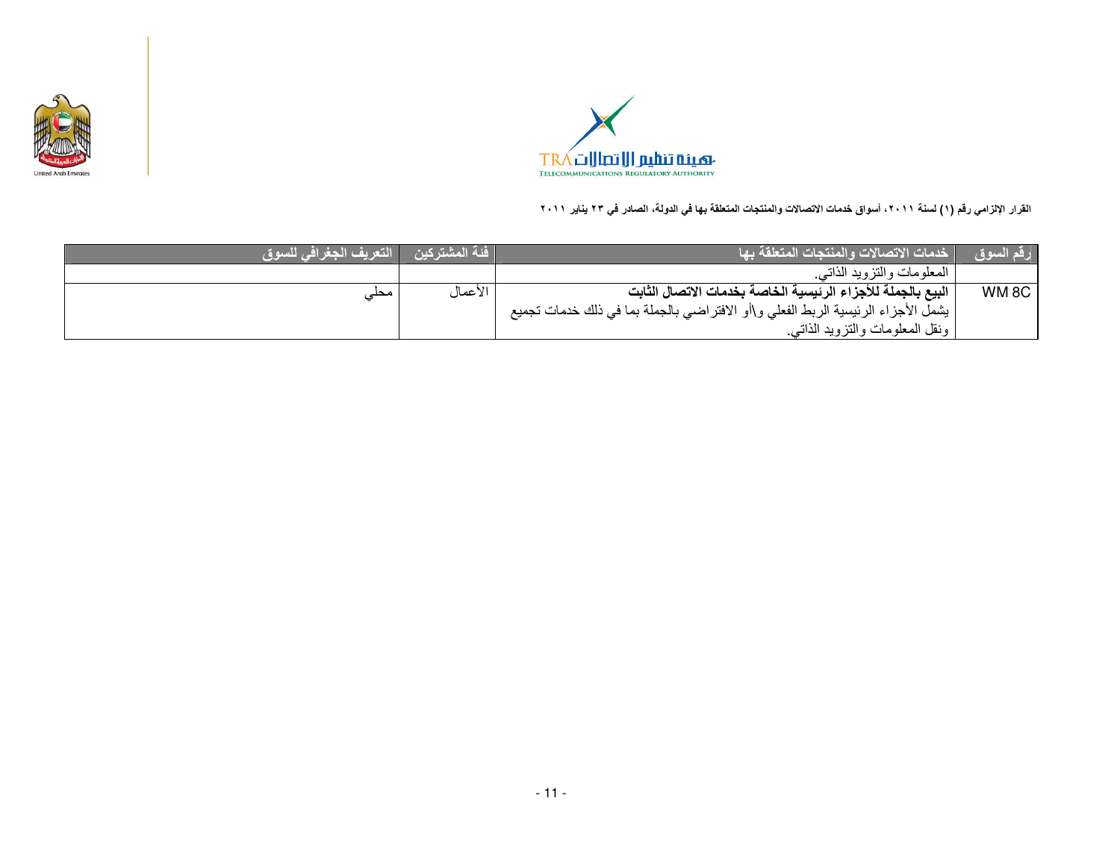



| رقم السوق        | فدمات الاتصالات والمنتجات المتعلقة بها                                             | المشتركين | التعريف الجغرافي للسوق |
|------------------|------------------------------------------------------------------------------------|-----------|------------------------|
|                  | المعلومات والنزويد الذاتبي                                                         |           |                        |
| WM <sub>8C</sub> | البيع بالجملة للأجزاء الرئيسية الخاصة بخدمات الاتصال الثابت                        | الأعمال   | حد                     |
|                  | ا يشمل الأجزاء الرئيسية الربط الفعلي و\أو الافتراضي بالجملة بما في ذلك خدمات تجميع |           |                        |
|                  | ونقل المعلومات والتزويد الذاتبي                                                    |           |                        |